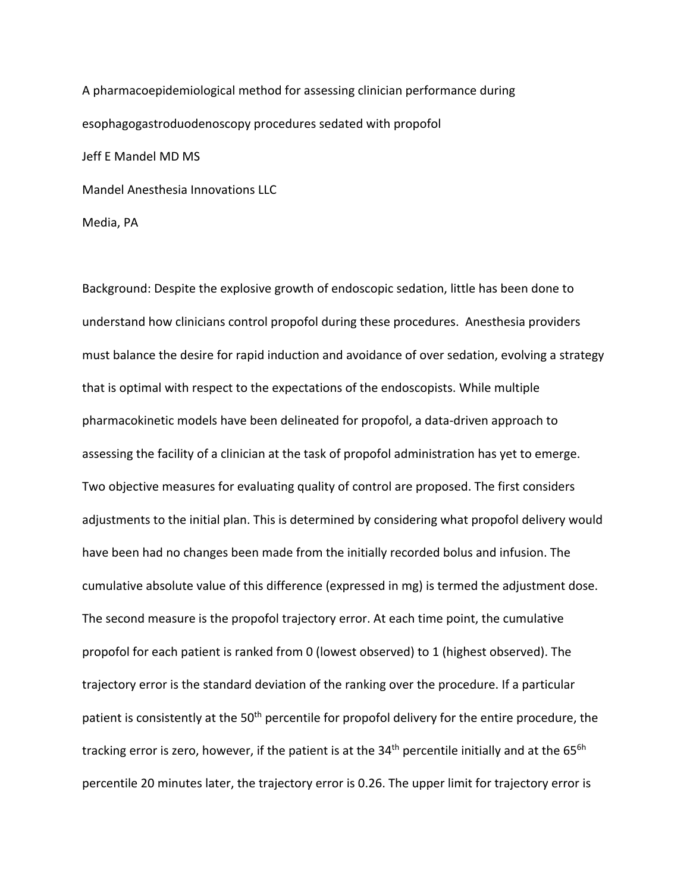A pharmacoepidemiological method for assessing clinician performance during esophagogastroduodenoscopy procedures sedated with propofol Jeff E Mandel MD MS Mandel Anesthesia Innovations LLC

Media, PA

Background: Despite the explosive growth of endoscopic sedation, little has been done to understand how clinicians control propofol during these procedures. Anesthesia providers must balance the desire for rapid induction and avoidance of over sedation, evolving a strategy that is optimal with respect to the expectations of the endoscopists. While multiple pharmacokinetic models have been delineated for propofol, a data-driven approach to assessing the facility of a clinician at the task of propofol administration has yet to emerge. Two objective measures for evaluating quality of control are proposed. The first considers adjustments to the initial plan. This is determined by considering what propofol delivery would have been had no changes been made from the initially recorded bolus and infusion. The cumulative absolute value of this difference (expressed in mg) is termed the adjustment dose. The second measure is the propofol trajectory error. At each time point, the cumulative propofol for each patient is ranked from 0 (lowest observed) to 1 (highest observed). The trajectory error is the standard deviation of the ranking over the procedure. If a particular patient is consistently at the 50<sup>th</sup> percentile for propofol delivery for the entire procedure, the tracking error is zero, however, if the patient is at the 34<sup>th</sup> percentile initially and at the 65<sup>6h</sup> percentile 20 minutes later, the trajectory error is 0.26. The upper limit for trajectory error is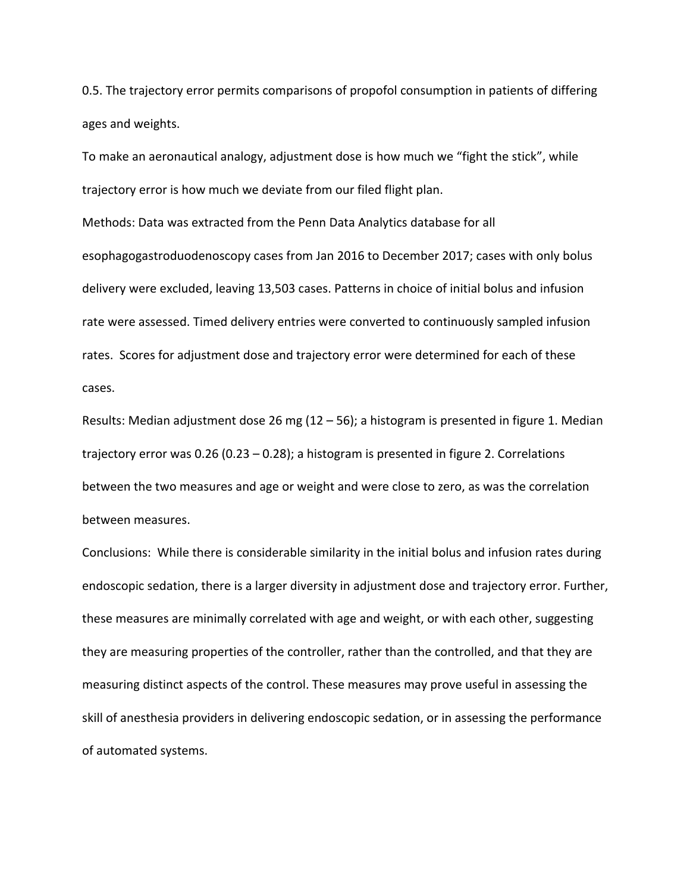0.5. The trajectory error permits comparisons of propofol consumption in patients of differing ages and weights.

To make an aeronautical analogy, adjustment dose is how much we "fight the stick", while trajectory error is how much we deviate from our filed flight plan.

Methods: Data was extracted from the Penn Data Analytics database for all esophagogastroduodenoscopy cases from Jan 2016 to December 2017; cases with only bolus delivery were excluded, leaving 13,503 cases. Patterns in choice of initial bolus and infusion rate were assessed. Timed delivery entries were converted to continuously sampled infusion rates. Scores for adjustment dose and trajectory error were determined for each of these cases.

Results: Median adjustment dose 26 mg (12 – 56); a histogram is presented in figure 1. Median trajectory error was 0.26 (0.23 – 0.28); a histogram is presented in figure 2. Correlations between the two measures and age or weight and were close to zero, as was the correlation between measures.

Conclusions: While there is considerable similarity in the initial bolus and infusion rates during endoscopic sedation, there is a larger diversity in adjustment dose and trajectory error. Further, these measures are minimally correlated with age and weight, or with each other, suggesting they are measuring properties of the controller, rather than the controlled, and that they are measuring distinct aspects of the control. These measures may prove useful in assessing the skill of anesthesia providers in delivering endoscopic sedation, or in assessing the performance of automated systems.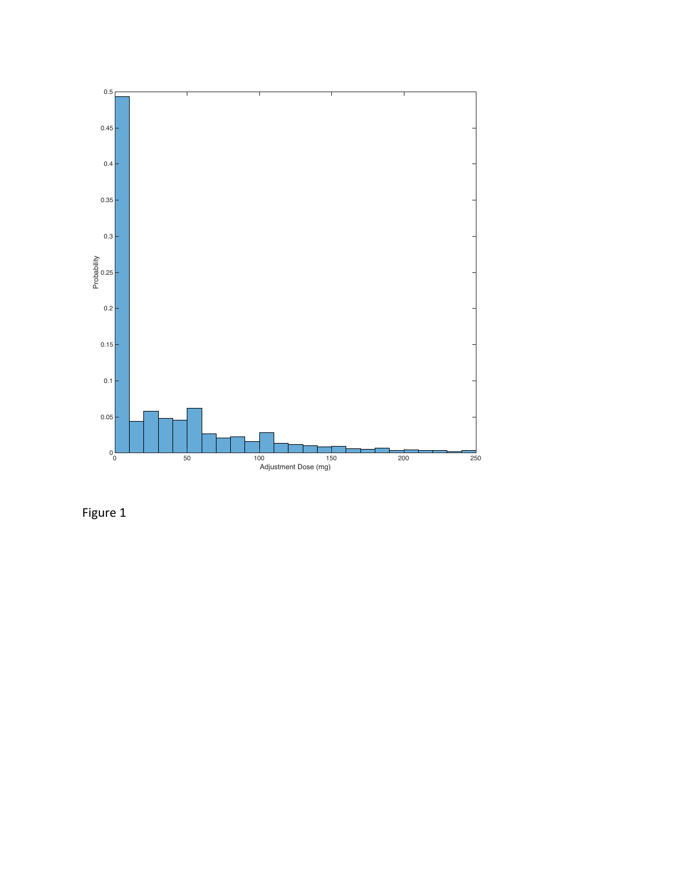

Figure 1